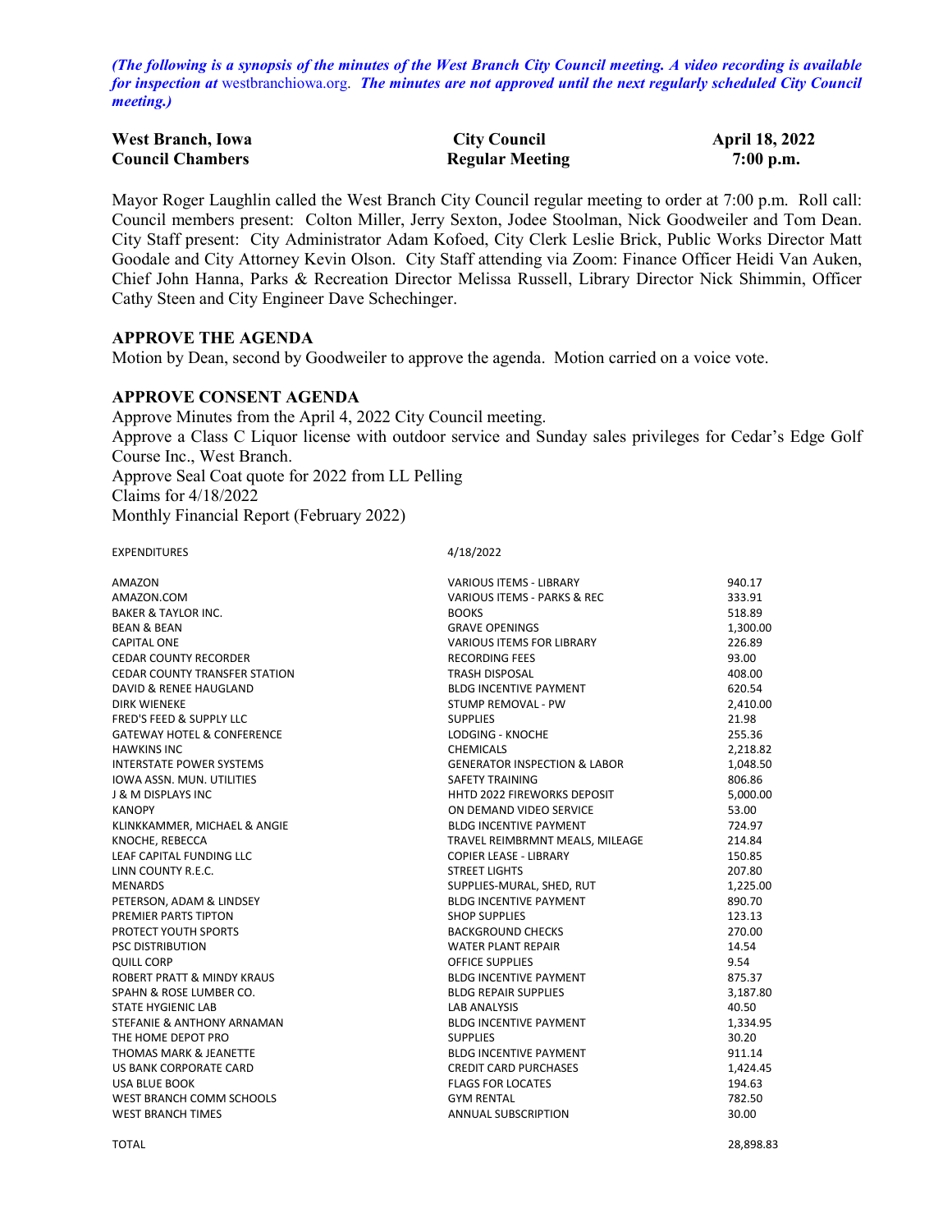*(The following is a synopsis of the minutes of the West Branch City Council meeting. A video recording is available for inspection at* [westbranchiowa.org.](https://westbranchiowa.org/city-of-west-branch/mayor-city-council/meetings/) *The minutes are not approved until the next regularly scheduled City Council meeting.)*

| <b>West Branch, Iowa</b> | <b>City Council</b>    | <b>April 18, 2022</b> |
|--------------------------|------------------------|-----------------------|
| <b>Council Chambers</b>  | <b>Regular Meeting</b> | $7:00$ p.m.           |

Mayor Roger Laughlin called the West Branch City Council regular meeting to order at 7:00 p.m. Roll call: Council members present: Colton Miller, Jerry Sexton, Jodee Stoolman, Nick Goodweiler and Tom Dean. City Staff present: City Administrator Adam Kofoed, City Clerk Leslie Brick, Public Works Director Matt Goodale and City Attorney Kevin Olson. City Staff attending via Zoom: Finance Officer Heidi Van Auken, Chief John Hanna, Parks & Recreation Director Melissa Russell, Library Director Nick Shimmin, Officer Cathy Steen and City Engineer Dave Schechinger.

#### **APPROVE THE AGENDA**

Motion by Dean, second by Goodweiler to approve the agenda. Motion carried on a voice vote.

### **APPROVE CONSENT AGENDA**

Approve Minutes from the April 4, 2022 City Council meeting. Approve a Class C Liquor license with outdoor service and Sunday sales privileges for Cedar's Edge Golf Course Inc., West Branch. Approve Seal Coat quote for 2022 from LL Pelling Claims for 4/18/2022 Monthly Financial Report (February 2022)

EXPENDITURES 4/18/2022

| <b>AMAZON</b>                         | <b>VARIOUS ITEMS - LIBRARY</b>          | 940.17   |
|---------------------------------------|-----------------------------------------|----------|
| AMAZON.COM                            | VARIOUS ITEMS - PARKS & REC             | 333.91   |
| <b>BAKER &amp; TAYLOR INC.</b>        | <b>BOOKS</b>                            | 518.89   |
| <b>BEAN &amp; BEAN</b>                | <b>GRAVE OPENINGS</b>                   | 1,300.00 |
| <b>CAPITAL ONE</b>                    | <b>VARIOUS ITEMS FOR LIBRARY</b>        | 226.89   |
| <b>CEDAR COUNTY RECORDER</b>          | <b>RECORDING FEES</b>                   | 93.00    |
| <b>CEDAR COUNTY TRANSFER STATION</b>  | <b>TRASH DISPOSAL</b>                   | 408.00   |
| <b>DAVID &amp; RENEE HAUGLAND</b>     | <b>BLDG INCENTIVE PAYMENT</b>           | 620.54   |
| <b>DIRK WIENEKE</b>                   | STUMP REMOVAL - PW                      | 2,410.00 |
| FRED'S FEED & SUPPLY LLC              | <b>SUPPLIES</b>                         | 21.98    |
| <b>GATEWAY HOTEL &amp; CONFERENCE</b> | <b>LODGING - KNOCHE</b>                 | 255.36   |
| <b>HAWKINS INC</b>                    | <b>CHEMICALS</b>                        | 2,218.82 |
| <b>INTERSTATE POWER SYSTEMS</b>       | <b>GENERATOR INSPECTION &amp; LABOR</b> | 1,048.50 |
| <b>IOWA ASSN. MUN. UTILITIES</b>      | <b>SAFETY TRAINING</b>                  | 806.86   |
| <b>J &amp; M DISPLAYS INC</b>         | <b>HHTD 2022 FIREWORKS DEPOSIT</b>      | 5,000.00 |
| <b>KANOPY</b>                         | ON DEMAND VIDEO SERVICE                 | 53.00    |
| KLINKKAMMER, MICHAEL & ANGIE          | <b>BLDG INCENTIVE PAYMENT</b>           | 724.97   |
| KNOCHE, REBECCA                       | TRAVEL REIMBRMNT MEALS, MILEAGE         | 214.84   |
| LEAF CAPITAL FUNDING LLC              | <b>COPIER LEASE - LIBRARY</b>           | 150.85   |
| LINN COUNTY R.E.C.                    | <b>STREET LIGHTS</b>                    | 207.80   |
| <b>MENARDS</b>                        | SUPPLIES-MURAL, SHED, RUT               | 1,225.00 |
| PETERSON, ADAM & LINDSEY              | <b>BLDG INCENTIVE PAYMENT</b>           | 890.70   |
| PREMIER PARTS TIPTON                  | <b>SHOP SUPPLIES</b>                    | 123.13   |
| PROTECT YOUTH SPORTS                  | <b>BACKGROUND CHECKS</b>                | 270.00   |
| <b>PSC DISTRIBUTION</b>               | <b>WATER PLANT REPAIR</b>               | 14.54    |
| <b>QUILL CORP</b>                     | <b>OFFICE SUPPLIES</b>                  | 9.54     |
| ROBERT PRATT & MINDY KRAUS            | <b>BLDG INCENTIVE PAYMENT</b>           | 875.37   |
| SPAHN & ROSE LUMBER CO.               | <b>BLDG REPAIR SUPPLIES</b>             | 3,187.80 |
| <b>STATE HYGIENIC LAB</b>             | <b>LAB ANALYSIS</b>                     | 40.50    |
| STEFANIE & ANTHONY ARNAMAN            | <b>BLDG INCENTIVE PAYMENT</b>           | 1,334.95 |
| THE HOME DEPOT PRO                    | <b>SUPPLIES</b>                         | 30.20    |
| <b>THOMAS MARK &amp; JEANETTE</b>     | <b>BLDG INCENTIVE PAYMENT</b>           | 911.14   |
| <b>US BANK CORPORATE CARD</b>         | <b>CREDIT CARD PURCHASES</b>            | 1,424.45 |
| <b>USA BLUE BOOK</b>                  | <b>FLAGS FOR LOCATES</b>                | 194.63   |
| WEST BRANCH COMM SCHOOLS              | <b>GYM RENTAL</b>                       | 782.50   |
| <b>WEST BRANCH TIMES</b>              | ANNUAL SUBSCRIPTION                     | 30.00    |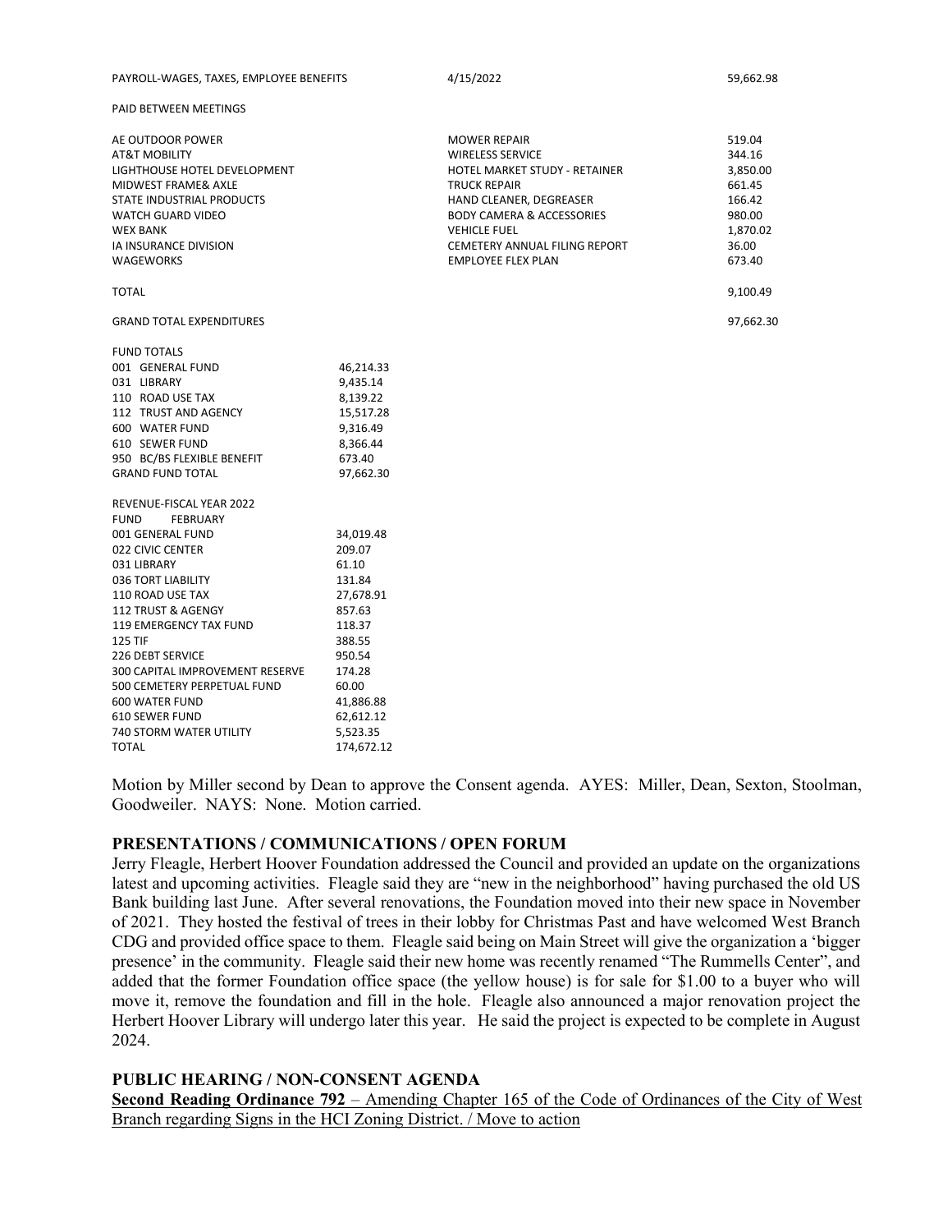| PAYROLL-WAGES. TAXES. EMPLOYEE BENEFITS | 4/15/2022 | 59.662.98 |
|-----------------------------------------|-----------|-----------|
|-----------------------------------------|-----------|-----------|

PAID BETWEEN MEETINGS

| AE OUTDOOR POWER                |            | <b>MOWER REPAIR</b>                  | 519.04    |
|---------------------------------|------------|--------------------------------------|-----------|
| <b>AT&amp;T MOBILITY</b>        |            | <b>WIRELESS SERVICE</b>              | 344.16    |
| LIGHTHOUSE HOTEL DEVELOPMENT    |            | <b>HOTEL MARKET STUDY - RETAINER</b> | 3,850.00  |
| MIDWEST FRAME& AXLE             |            | <b>TRUCK REPAIR</b>                  | 661.45    |
| STATE INDUSTRIAL PRODUCTS       |            | HAND CLEANER, DEGREASER              | 166.42    |
| <b>WATCH GUARD VIDEO</b>        |            | <b>BODY CAMERA &amp; ACCESSORIES</b> | 980.00    |
| <b>WEX BANK</b>                 |            | <b>VEHICLE FUEL</b>                  | 1,870.02  |
| IA INSURANCE DIVISION           |            | CEMETERY ANNUAL FILING REPORT        | 36.00     |
| <b>WAGEWORKS</b>                |            | <b>EMPLOYEE FLEX PLAN</b>            | 673.40    |
| <b>TOTAL</b>                    |            |                                      | 9,100.49  |
| <b>GRAND TOTAL EXPENDITURES</b> |            |                                      | 97,662.30 |
| <b>FUND TOTALS</b>              |            |                                      |           |
| 001 GENERAL FUND                | 46,214.33  |                                      |           |
| 031 LIBRARY                     | 9,435.14   |                                      |           |
| 110 ROAD USE TAX                | 8,139.22   |                                      |           |
| 112 TRUST AND AGENCY            | 15,517.28  |                                      |           |
| 600 WATER FUND                  | 9,316.49   |                                      |           |
| 610 SEWER FUND                  | 8,366.44   |                                      |           |
| 950 BC/BS FLEXIBLE BENEFIT      | 673.40     |                                      |           |
| <b>GRAND FUND TOTAL</b>         | 97,662.30  |                                      |           |
| REVENUE-FISCAL YEAR 2022        |            |                                      |           |
| <b>FUND</b><br><b>FEBRUARY</b>  |            |                                      |           |
| 001 GENERAL FUND                | 34,019.48  |                                      |           |
| 022 CIVIC CENTER                | 209.07     |                                      |           |
| 031 LIBRARY                     | 61.10      |                                      |           |
| 036 TORT LIABILITY              | 131.84     |                                      |           |
| 110 ROAD USE TAX                | 27,678.91  |                                      |           |
| 112 TRUST & AGENGY              | 857.63     |                                      |           |
| 119 EMERGENCY TAX FUND          | 118.37     |                                      |           |
| <b>125 TIF</b>                  | 388.55     |                                      |           |
| <b>226 DEBT SERVICE</b>         | 950.54     |                                      |           |
| 300 CAPITAL IMPROVEMENT RESERVE | 174.28     |                                      |           |
| 500 CEMETERY PERPETUAL FUND     | 60.00      |                                      |           |
| 600 WATER FUND                  | 41,886.88  |                                      |           |
| 610 SEWER FUND                  | 62,612.12  |                                      |           |
| <b>740 STORM WATER UTILITY</b>  | 5,523.35   |                                      |           |
| <b>TOTAL</b>                    | 174,672.12 |                                      |           |

Motion by Miller second by Dean to approve the Consent agenda. AYES: Miller, Dean, Sexton, Stoolman, Goodweiler. NAYS: None. Motion carried.

#### **PRESENTATIONS / COMMUNICATIONS / OPEN FORUM**

Jerry Fleagle, Herbert Hoover Foundation addressed the Council and provided an update on the organizations latest and upcoming activities. Fleagle said they are "new in the neighborhood" having purchased the old US Bank building last June. After several renovations, the Foundation moved into their new space in November of 2021. They hosted the festival of trees in their lobby for Christmas Past and have welcomed West Branch CDG and provided office space to them. Fleagle said being on Main Street will give the organization a 'bigger presence' in the community. Fleagle said their new home was recently renamed "The Rummells Center", and added that the former Foundation office space (the yellow house) is for sale for \$1.00 to a buyer who will move it, remove the foundation and fill in the hole. Fleagle also announced a major renovation project the Herbert Hoover Library will undergo later this year. He said the project is expected to be complete in August 2024.

**PUBLIC HEARING / NON-CONSENT AGENDA**

**Second Reading Ordinance 792** – Amending Chapter 165 of the Code of Ordinances of the City of West Branch regarding Signs in the HCI Zoning District. / Move to action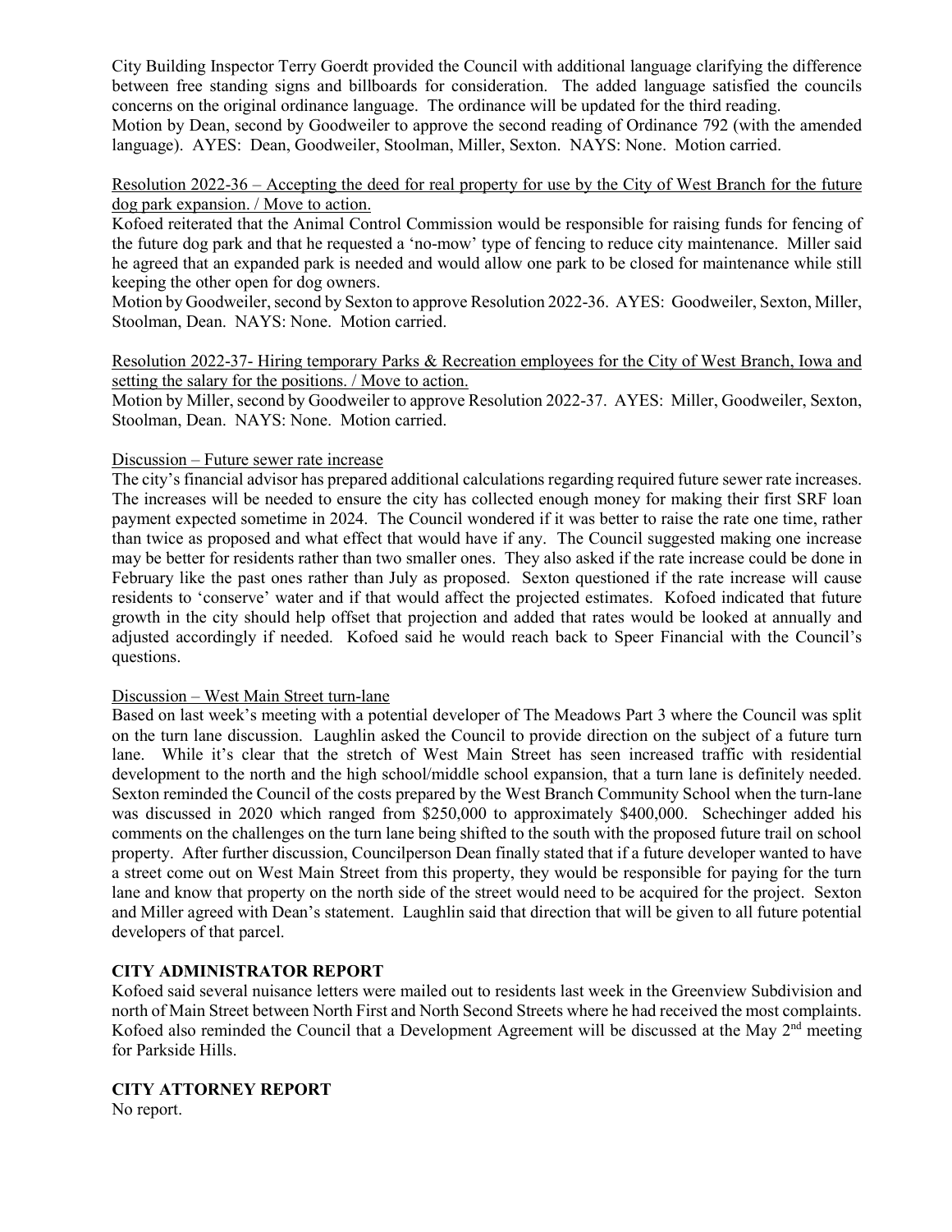City Building Inspector Terry Goerdt provided the Council with additional language clarifying the difference between free standing signs and billboards for consideration. The added language satisfied the councils concerns on the original ordinance language. The ordinance will be updated for the third reading. Motion by Dean, second by Goodweiler to approve the second reading of Ordinance 792 (with the amended language). AYES: Dean, Goodweiler, Stoolman, Miller, Sexton. NAYS: None. Motion carried.

Resolution 2022-36 – Accepting the deed for real property for use by the City of West Branch for the future dog park expansion. / Move to action.

Kofoed reiterated that the Animal Control Commission would be responsible for raising funds for fencing of the future dog park and that he requested a 'no-mow' type of fencing to reduce city maintenance. Miller said he agreed that an expanded park is needed and would allow one park to be closed for maintenance while still keeping the other open for dog owners.

Motion by Goodweiler, second by Sexton to approve Resolution 2022-36. AYES: Goodweiler, Sexton, Miller, Stoolman, Dean. NAYS: None. Motion carried.

Resolution 2022-37- Hiring temporary Parks & Recreation employees for the City of West Branch, Iowa and setting the salary for the positions. / Move to action.

Motion by Miller, second by Goodweiler to approve Resolution 2022-37. AYES: Miller, Goodweiler, Sexton, Stoolman, Dean. NAYS: None. Motion carried.

### Discussion – Future sewer rate increase

The city's financial advisor has prepared additional calculations regarding required future sewer rate increases. The increases will be needed to ensure the city has collected enough money for making their first SRF loan payment expected sometime in 2024. The Council wondered if it was better to raise the rate one time, rather than twice as proposed and what effect that would have if any. The Council suggested making one increase may be better for residents rather than two smaller ones. They also asked if the rate increase could be done in February like the past ones rather than July as proposed. Sexton questioned if the rate increase will cause residents to 'conserve' water and if that would affect the projected estimates. Kofoed indicated that future growth in the city should help offset that projection and added that rates would be looked at annually and adjusted accordingly if needed. Kofoed said he would reach back to Speer Financial with the Council's questions.

### Discussion – West Main Street turn-lane

Based on last week's meeting with a potential developer of The Meadows Part 3 where the Council was split on the turn lane discussion. Laughlin asked the Council to provide direction on the subject of a future turn lane. While it's clear that the stretch of West Main Street has seen increased traffic with residential development to the north and the high school/middle school expansion, that a turn lane is definitely needed. Sexton reminded the Council of the costs prepared by the West Branch Community School when the turn-lane was discussed in 2020 which ranged from \$250,000 to approximately \$400,000. Schechinger added his comments on the challenges on the turn lane being shifted to the south with the proposed future trail on school property. After further discussion, Councilperson Dean finally stated that if a future developer wanted to have a street come out on West Main Street from this property, they would be responsible for paying for the turn lane and know that property on the north side of the street would need to be acquired for the project. Sexton and Miller agreed with Dean's statement. Laughlin said that direction that will be given to all future potential developers of that parcel.

## **CITY ADMINISTRATOR REPORT**

Kofoed said several nuisance letters were mailed out to residents last week in the Greenview Subdivision and north of Main Street between North First and North Second Streets where he had received the most complaints. Kofoed also reminded the Council that a Development Agreement will be discussed at the May 2<sup>nd</sup> meeting for Parkside Hills.

# **CITY ATTORNEY REPORT**

No report.